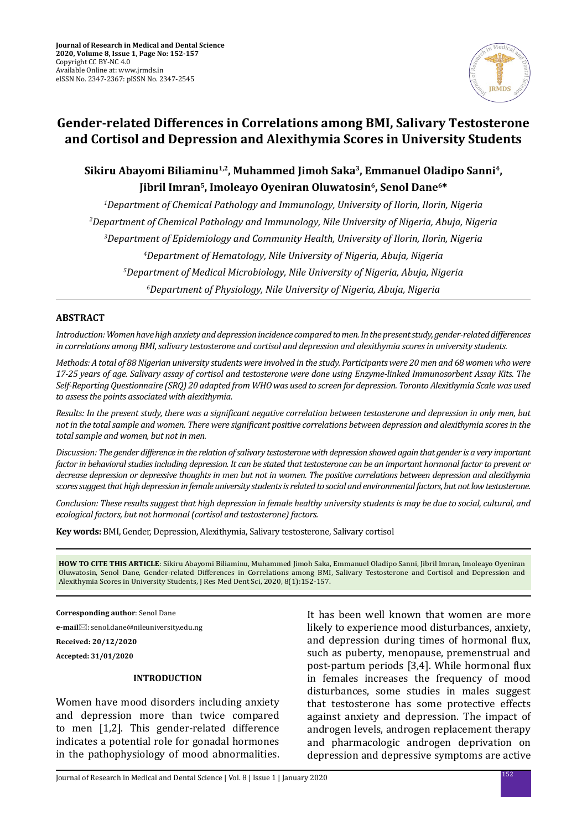

# **Gender-related Differences in Correlations among BMI, Salivary Testosterone and Cortisol and Depression and Alexithymia Scores in University Students**

## **Sikiru Abayomi Biliaminu1,2, Muhammed Jimoh Saka3, Emmanuel Oladipo Sanni4,** Jibril Imran<sup>5</sup>, Imoleayo Oyeniran Oluwatosin<sup>6</sup>, Senol Dane<sup>6\*</sup>

 *Department of Chemical Pathology and Immunology, University of Ilorin, Ilorin, Nigeria Department of Chemical Pathology and Immunology, Nile University of Nigeria, Abuja, Nigeria Department of Epidemiology and Community Health, University of Ilorin, Ilorin, Nigeria Department of Hematology, Nile University of Nigeria, Abuja, Nigeria Department of Medical Microbiology, Nile University of Nigeria, Abuja, Nigeria Department of Physiology, Nile University of Nigeria, Abuja, Nigeria*

#### **ABSTRACT**

*Introduction: Women have high anxiety and depression incidence compared to men. In the present study, gender-related differences in correlations among BMI, salivary testosterone and cortisol and depression and alexithymia scores in university students.*

*Methods: A total of 88 Nigerian university students were involved in the study. Participants were 20 men and 68 women who were 17-25 years of age. Salivary assay of cortisol and testosterone were done using Enzyme-linked Immunosorbent Assay Kits. The Self-Reporting Questionnaire (SRQ) 20 adapted from WHO was used to screen for depression. Toronto Alexithymia Scale was used to assess the points associated with alexithymia.*

*Results: In the present study, there was a significant negative correlation between testosterone and depression in only men, but not in the total sample and women. There were significant positive correlations between depression and alexithymia scores in the total sample and women, but not in men.*

*Discussion: The gender difference in the relation of salivary testosterone with depression showed again that gender is a very important factor in behavioral studies including depression. It can be stated that testosterone can be an important hormonal factor to prevent or decrease depression or depressive thoughts in men but not in women. The positive correlations between depression and alexithymia scores suggest that high depression in female university students is related to social and environmental factors, but not low testosterone.*

*Conclusion: These results suggest that high depression in female healthy university students is may be due to social, cultural, and ecological factors, but not hormonal (cortisol and testosterone) factors.*

**Key words:** BMI, Gender, Depression, Alexithymia, Salivary testosterone, Salivary cortisol

**HOW TO CITE THIS ARTICLE**: Sikiru Abayomi Biliaminu, Muhammed Jimoh Saka, Emmanuel Oladipo Sanni, Jibril Imran, Imoleayo Oyeniran Oluwatosin, Senol Dane, Gender-related Differences in Correlations among BMI, Salivary Testosterone and Cortisol and Depression and Alexithymia Scores in University Students, J Res Med Dent Sci, 2020, 8(1):152-157.

**Corresponding author**: Senol Dane

**e-mail**: senol.dane@nileuniversity.edu.ng

**Received: 20/12/2020**

**Accepted: 31/01/2020**

#### **INTRODUCTION**

Women have mood disorders including anxiety and depression more than twice compared to men [1,2]. This gender-related difference indicates a potential role for gonadal hormones in the pathophysiology of mood abnormalities. It has been well known that women are more likely to experience mood disturbances, anxiety, and depression during times of hormonal flux, such as puberty, menopause, premenstrual and post-partum periods [3,4]. While hormonal flux in females increases the frequency of mood disturbances, some studies in males suggest that testosterone has some protective effects against anxiety and depression. The impact of androgen levels, androgen replacement therapy and pharmacologic androgen deprivation on depression and depressive symptoms are active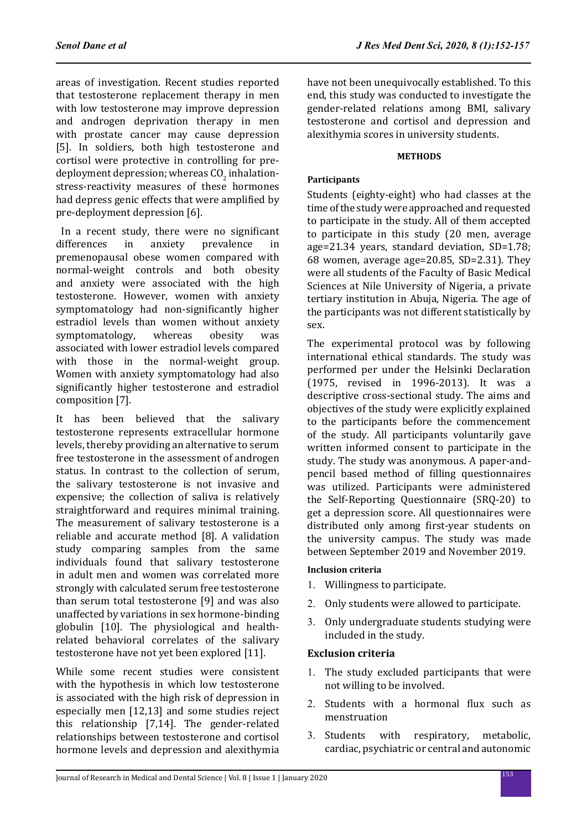areas of investigation. Recent studies reported that testosterone replacement therapy in men with low testosterone may improve depression and androgen deprivation therapy in men with prostate cancer may cause depression [5]. In soldiers, both high testosterone and cortisol were protective in controlling for predeployment depression; whereas  $\text{CO}_2$  inhalationstress-reactivity measures of these hormones had depress genic effects that were amplified by pre-deployment depression [6].

In a recent study, there were no significant<br>differences in anxiety prevalence in prevalence premenopausal obese women compared with normal-weight controls and both obesity and anxiety were associated with the high testosterone. However, women with anxiety symptomatology had non-significantly higher estradiol levels than women without anxiety<br>symptomatology, whereas obesity was symptomatology. associated with lower estradiol levels compared with those in the normal-weight group. Women with anxiety symptomatology had also significantly higher testosterone and estradiol composition [7].

It has been believed that the salivary testosterone represents extracellular hormone levels, thereby providing an alternative to serum free testosterone in the assessment of androgen status. In contrast to the collection of serum, the salivary testosterone is not invasive and expensive; the collection of saliva is relatively straightforward and requires minimal training. The measurement of salivary testosterone is a reliable and accurate method [8]. A validation study comparing samples from the same individuals found that salivary testosterone in adult men and women was correlated more strongly with calculated serum free testosterone than serum total testosterone [9] and was also unaffected by variations in sex hormone-binding globulin [10]. The physiological and healthrelated behavioral correlates of the salivary testosterone have not yet been explored [11].

While some recent studies were consistent with the hypothesis in which low testosterone is associated with the high risk of depression in especially men [12,13] and some studies reject this relationship [7,14]. The gender-related relationships between testosterone and cortisol hormone levels and depression and alexithymia

have not been unequivocally established. To this end, this study was conducted to investigate the gender-related relations among BMI, salivary testosterone and cortisol and depression and alexithymia scores in university students.

## **METHODS**

## **Participants**

Students (eighty-eight) who had classes at the time of the study were approached and requested to participate in the study. All of them accepted to participate in this study (20 men, average age=21.34 years, standard deviation, SD=1.78; 68 women, average age=20.85, SD=2.31). They were all students of the Faculty of Basic Medical Sciences at Nile University of Nigeria, a private tertiary institution in Abuja, Nigeria. The age of the participants was not different statistically by sex.

The experimental protocol was by following international ethical standards. The study was performed per under the Helsinki Declaration (1975, revised in 1996-2013). It was a descriptive cross-sectional study. The aims and objectives of the study were explicitly explained to the participants before the commencement of the study. All participants voluntarily gave written informed consent to participate in the study. The study was anonymous. A paper-andpencil based method of filling questionnaires was utilized. Participants were administered the Self-Reporting Questionnaire (SRQ-20) to get a depression score. All questionnaires were distributed only among first-year students on the university campus. The study was made between September 2019 and November 2019.

## **Inclusion criteria**

- 1. Willingness to participate.
- 2. Only students were allowed to participate.
- 3. Only undergraduate students studying were included in the study.

## **Exclusion criteria**

- 1. The study excluded participants that were not willing to be involved.
- 2. Students with a hormonal flux such as menstruation
- 3. Students with respiratory, metabolic, cardiac, psychiatric or central and autonomic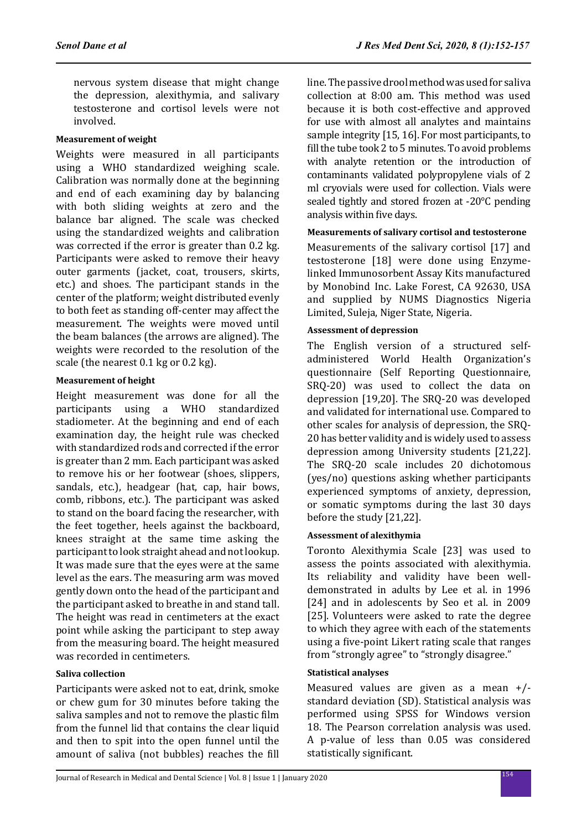nervous system disease that might change the depression, alexithymia, and salivary testosterone and cortisol levels were not involved.

#### **Measurement of weight**

Weights were measured in all participants using a WHO standardized weighing scale. Calibration was normally done at the beginning and end of each examining day by balancing with both sliding weights at zero and the balance bar aligned. The scale was checked using the standardized weights and calibration was corrected if the error is greater than 0.2 kg. Participants were asked to remove their heavy outer garments (jacket, coat, trousers, skirts, etc.) and shoes. The participant stands in the center of the platform; weight distributed evenly to both feet as standing off-center may affect the measurement. The weights were moved until the beam balances (the arrows are aligned). The weights were recorded to the resolution of the scale (the nearest 0.1 kg or 0.2 kg).

## **Measurement of height**

Height measurement was done for all the participants using a WHO standardized stadiometer. At the beginning and end of each examination day, the height rule was checked with standardized rods and corrected if the error is greater than 2 mm. Each participant was asked to remove his or her footwear (shoes, slippers, sandals, etc.), headgear (hat, cap, hair bows, comb, ribbons, etc.). The participant was asked to stand on the board facing the researcher, with the feet together, heels against the backboard, knees straight at the same time asking the participant to look straight ahead and not lookup. It was made sure that the eyes were at the same level as the ears. The measuring arm was moved gently down onto the head of the participant and the participant asked to breathe in and stand tall. The height was read in centimeters at the exact point while asking the participant to step away from the measuring board. The height measured was recorded in centimeters.

## **Saliva collection**

Participants were asked not to eat, drink, smoke or chew gum for 30 minutes before taking the saliva samples and not to remove the plastic film from the funnel lid that contains the clear liquid and then to spit into the open funnel until the amount of saliva (not bubbles) reaches the fill line. The passive drool method was used for saliva collection at 8:00 am. This method was used because it is both cost-effective and approved for use with almost all analytes and maintains sample integrity [15, 16]. For most participants, to fill the tube took 2 to 5 minutes. To avoid problems with analyte retention or the introduction of contaminants validated polypropylene vials of 2 ml cryovials were used for collection. Vials were sealed tightly and stored frozen at -20°C pending analysis within five days.

## **Measurements of salivary cortisol and testosterone**

Measurements of the salivary cortisol [17] and testosterone [18] were done using Enzymelinked Immunosorbent Assay Kits manufactured by Monobind Inc. Lake Forest, CA 92630, USA and supplied by NUMS Diagnostics Nigeria Limited, Suleja, Niger State, Nigeria.

#### **Assessment of depression**

The English version of a structured selfadministered World Health Organization's questionnaire (Self Reporting Questionnaire, SRQ-20) was used to collect the data on depression [19,20]. The SRQ-20 was developed and validated for international use. Compared to other scales for analysis of depression, the SRQ-20 has better validity and is widely used to assess depression among University students [21,22]. The SRQ-20 scale includes 20 dichotomous (yes/no) questions asking whether participants experienced symptoms of anxiety, depression, or somatic symptoms during the last 30 days before the study [21,22].

## **Assessment of alexithymia**

Toronto Alexithymia Scale [23] was used to assess the points associated with alexithymia. Its reliability and validity have been welldemonstrated in adults by Lee et al. in 1996 [24] and in adolescents by Seo et al. in 2009 [25]. Volunteers were asked to rate the degree to which they agree with each of the statements using a five-point Likert rating scale that ranges from "strongly agree" to "strongly disagree."

## **Statistical analyses**

Measured values are given as a mean +/ standard deviation (SD). Statistical analysis was performed using SPSS for Windows version 18. The Pearson correlation analysis was used. A p-value of less than 0.05 was considered statistically significant.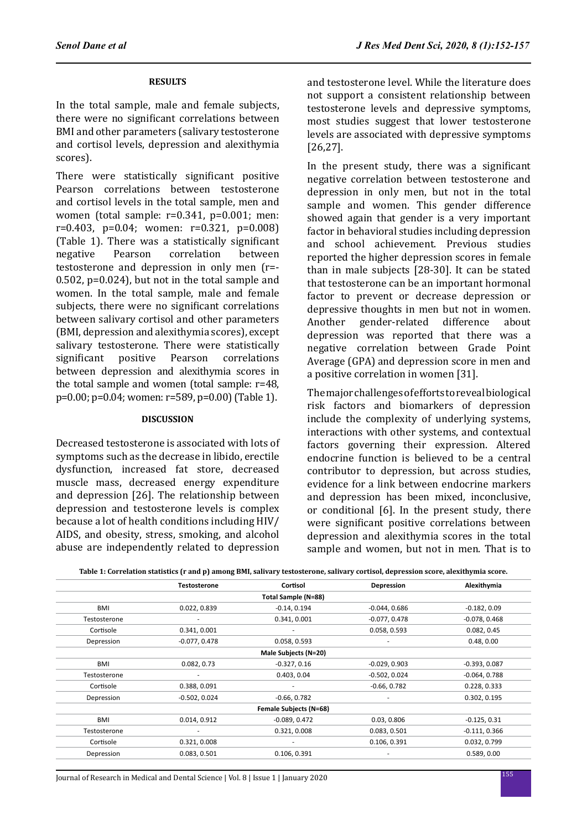#### **RESULTS**

In the total sample, male and female subjects, there were no significant correlations between BMI and other parameters (salivary testosterone and cortisol levels, depression and alexithymia scores).

There were statistically significant positive Pearson correlations between testosterone and cortisol levels in the total sample, men and women (total sample: r=0.341, p=0.001; men: r=0.403, p=0.04; women: r=0.321, p=0.008) (Table 1). There was a statistically significant correlation testosterone and depression in only men (r=- 0.502, p=0.024), but not in the total sample and women. In the total sample, male and female subjects, there were no significant correlations between salivary cortisol and other parameters (BMI, depression and alexithymia scores), except salivary testosterone. There were statistically<br>significant positive Pearson correlations correlations between depression and alexithymia scores in the total sample and women (total sample: r=48, p=0.00; p=0.04; women: r=589, p=0.00) (Table 1).

#### **DISCUSSION**

Decreased testosterone is associated with lots of symptoms such as the decrease in libido, erectile dysfunction, increased fat store, decreased muscle mass, decreased energy expenditure and depression [26]. The relationship between depression and testosterone levels is complex because a lot of health conditions including HIV/ AIDS, and obesity, stress, smoking, and alcohol abuse are independently related to depression and testosterone level. While the literature does not support a consistent relationship between testosterone levels and depressive symptoms, most studies suggest that lower testosterone levels are associated with depressive symptoms [26,27].

In the present study, there was a significant negative correlation between testosterone and depression in only men, but not in the total sample and women. This gender difference showed again that gender is a very important factor in behavioral studies including depression and school achievement. Previous studies reported the higher depression scores in female than in male subjects [28-30]. It can be stated that testosterone can be an important hormonal factor to prevent or decrease depression or depressive thoughts in men but not in women.<br>Another gender-related difference about gender-related depression was reported that there was a negative correlation between Grade Point Average (GPA) and depression score in men and a positive correlation in women [31].

The major challenges of efforts to reveal biological risk factors and biomarkers of depression include the complexity of underlying systems, interactions with other systems, and contextual factors governing their expression. Altered endocrine function is believed to be a central contributor to depression, but across studies, evidence for a link between endocrine markers and depression has been mixed, inconclusive, or conditional [6]. In the present study, there were significant positive correlations between depression and alexithymia scores in the total sample and women, but not in men. That is to

|              | <b>Testosterone</b> | Cortisol                      | Depression      | Alexithymia     |
|--------------|---------------------|-------------------------------|-----------------|-----------------|
|              |                     | Total Sample (N=88)           |                 |                 |
| <b>BMI</b>   | 0.022, 0.839        | $-0.14, 0.194$                | $-0.044, 0.686$ | $-0.182, 0.09$  |
| Testosterone | ۰                   | 0.341, 0.001                  | $-0.077, 0.478$ | $-0.078, 0.468$ |
| Cortisole    | 0.341, 0.001        | ٠                             | 0.058, 0.593    | 0.082, 0.45     |
| Depression   | $-0.077, 0.478$     | 0.058, 0.593                  | ٠               | 0.48, 0.00      |
|              |                     | Male Subjects (N=20)          |                 |                 |
| <b>BMI</b>   | 0.082, 0.73         | $-0.327, 0.16$                | $-0.029, 0.903$ | $-0.393, 0.087$ |
| Testosterone | ۰                   | 0.403, 0.04                   | $-0.502, 0.024$ | $-0.064, 0.788$ |
| Cortisole    | 0.388, 0.091        |                               | $-0.66, 0.782$  | 0.228, 0.333    |
| Depression   | $-0.502, 0.024$     | $-0.66, 0.782$                | ٠               | 0.302, 0.195    |
|              |                     | <b>Female Subjects (N=68)</b> |                 |                 |
| <b>BMI</b>   | 0.014, 0.912        | $-0.089, 0.472$               | 0.03, 0.806     | $-0.125, 0.31$  |
| Testosterone | ۰                   | 0.321, 0.008                  | 0.083, 0.501    | $-0.111, 0.366$ |
| Cortisole    | 0.321, 0.008        | ٠                             | 0.106, 0.391    | 0.032, 0.799    |
| Depression   | 0.083, 0.501        | 0.106, 0.391                  |                 | 0.589, 0.00     |
|              |                     |                               |                 |                 |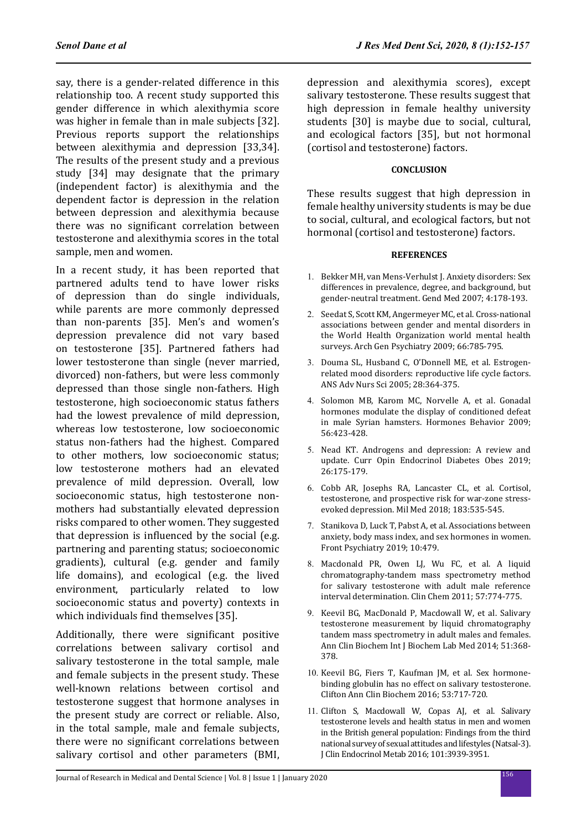say, there is a gender-related difference in this relationship too. A recent study supported this gender difference in which alexithymia score was higher in female than in male subjects [32]. Previous reports support the relationships between alexithymia and depression [33,34]. The results of the present study and a previous study [34] may designate that the primary (independent factor) is alexithymia and the dependent factor is depression in the relation between depression and alexithymia because there was no significant correlation between testosterone and alexithymia scores in the total sample, men and women.

In a recent study, it has been reported that partnered adults tend to have lower risks of depression than do single individuals, while parents are more commonly depressed than non-parents [35]. Men's and women's depression prevalence did not vary based on testosterone [35]. Partnered fathers had lower testosterone than single (never married, divorced) non-fathers, but were less commonly depressed than those single non-fathers. High testosterone, high socioeconomic status fathers had the lowest prevalence of mild depression, whereas low testosterone, low socioeconomic status non-fathers had the highest. Compared to other mothers, low socioeconomic status; low testosterone mothers had an elevated prevalence of mild depression. Overall, low socioeconomic status, high testosterone nonmothers had substantially elevated depression risks compared to other women. They suggested that depression is influenced by the social (e.g. partnering and parenting status; socioeconomic gradients), cultural (e.g. gender and family life domains), and ecological (e.g. the lived environment, particularly related to low socioeconomic status and poverty) contexts in which individuals find themselves [35].

Additionally, there were significant positive correlations between salivary cortisol and salivary testosterone in the total sample, male and female subjects in the present study. These well-known relations between cortisol and testosterone suggest that hormone analyses in the present study are correct or reliable. Also, in the total sample, male and female subjects, there were no significant correlations between salivary cortisol and other parameters (BMI, depression and alexithymia scores), except salivary testosterone. These results suggest that high depression in female healthy university students [30] is maybe due to social, cultural, and ecological factors [35], but not hormonal (cortisol and testosterone) factors.

#### **CONCLUSION**

These results suggest that high depression in female healthy university students is may be due to social, cultural, and ecological factors, but not hormonal (cortisol and testosterone) factors.

#### **REFERENCES**

- 1. Bekker MH, van Mens-Verhulst J. Anxiety disorders: Sex differences in prevalence, degree, and background, but gender-neutral treatment. Gend Med 2007; 4:178-193.
- 2. Seedat S, Scott KM, Angermeyer MC, et al. Cross-national associations between gender and mental disorders in the World Health Organization world mental health surveys. Arch Gen Psychiatry 2009; 66:785-795.
- 3. Douma SL, Husband C, O'Donnell ME, et al. Estrogenrelated mood disorders: reproductive life cycle factors. ANS Adv Nurs Sci 2005; 28:364-375.
- 4. Solomon MB, Karom MC, Norvelle A, et al. Gonadal hormones modulate the display of conditioned defeat in male Syrian hamsters. Hormones Behavior 2009; 56:423-428.
- 5. Nead KT. Androgens and depression: A review and update. Curr Opin Endocrinol Diabetes Obes 2019; 26:175-179.
- 6. Cobb AR, Josephs RA, Lancaster CL, et al. Cortisol, testosterone, and prospective risk for war-zone stressevoked depression. Mil Med 2018; 183:535-545.
- 7. Stanikova D, Luck T, Pabst A, et al. Associations between anxiety, body mass index, and sex hormones in women. Front Psychiatry 2019; 10:479.
- 8. Macdonald PR, Owen LJ, Wu FC, et al. A liquid chromatography-tandem mass spectrometry method for salivary testosterone with adult male reference interval determination. Clin Chem 2011; 57:774-775.
- 9. Keevil BG, MacDonald P, Macdowall W, et al. Salivary testosterone measurement by liquid chromatography tandem mass spectrometry in adult males and females. Ann Clin Biochem Int J Biochem Lab Med 2014; 51:368- 378.
- 10. Keevil BG, Fiers T, Kaufman JM, et al. Sex hormonebinding globulin has no effect on salivary testosterone. Clifton Ann Clin Biochem 2016; 53:717-720.
- 11. Clifton S, Macdowall W, Copas AJ, et al. Salivary testosterone levels and health status in men and women in the British general population: Findings from the third national survey of sexual attitudes and lifestyles (Natsal-3). J Clin Endocrinol Metab 2016; 101:3939-3951.